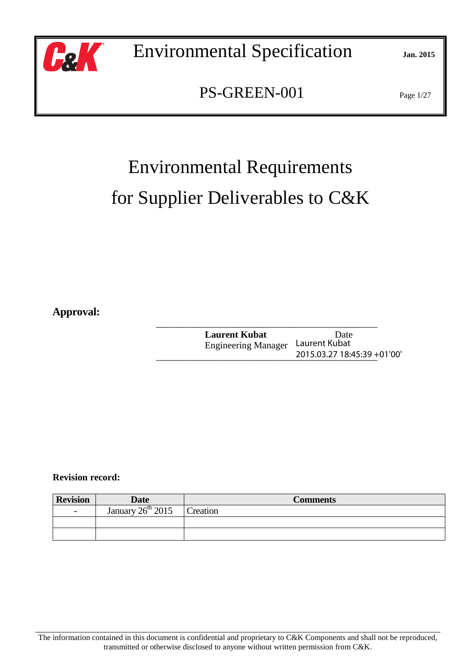

PS-GREEN-001 Page 1/27

# Environmental Requirements for Supplier Deliverables to C&K

**Approval:** 

 $\mathcal{L}_\mathcal{L}$  , which is a set of the set of the set of the set of the set of the set of the set of the set of the set of the set of the set of the set of the set of the set of the set of the set of the set of the set of **Laurent Kubat** Date Engineering Manager  $\frac{2015.03.2718:45:39+01'00''}{2015.03.2718:45:39+01'00''}$ Laurent Kubat

 **Revision record:** 

| <b>Revision</b>          | <b>Date</b>         | <b>Comments</b> |
|--------------------------|---------------------|-----------------|
| $\overline{\phantom{a}}$ | January $26th$ 2015 | <b>Treation</b> |
|                          |                     |                 |
|                          |                     |                 |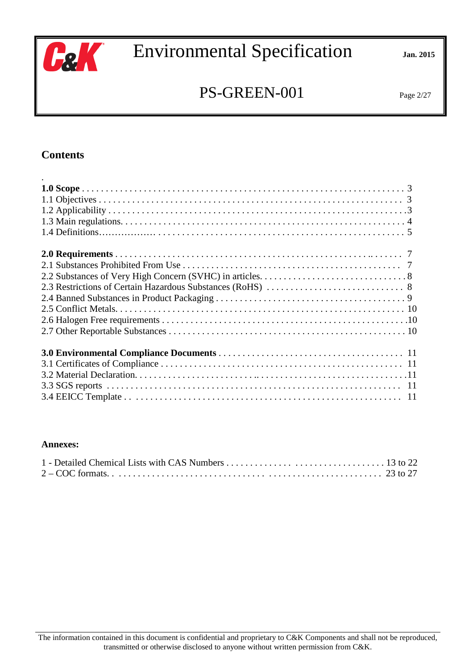

## PS-GREEN-001 Page 2/27

#### **Contents**

#### **Annexes:**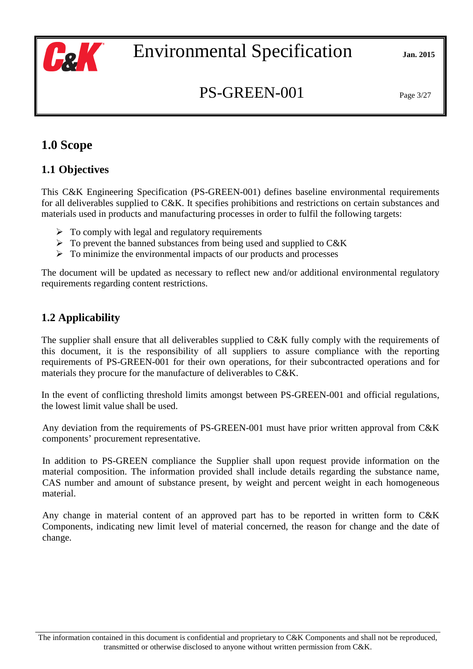

## PS-GREEN-001 Page 3/27

## **1.0 Scope**

#### **1.1 Objectives**

This C&K Engineering Specification (PS-GREEN-001) defines baseline environmental requirements for all deliverables supplied to C&K. It specifies prohibitions and restrictions on certain substances and materials used in products and manufacturing processes in order to fulfil the following targets:

- $\triangleright$  To comply with legal and regulatory requirements
- $\triangleright$  To prevent the banned substances from being used and supplied to C&K
- $\triangleright$  To minimize the environmental impacts of our products and processes

The document will be updated as necessary to reflect new and/or additional environmental regulatory requirements regarding content restrictions.

## **1.2 Applicability**

The supplier shall ensure that all deliverables supplied to C&K fully comply with the requirements of this document, it is the responsibility of all suppliers to assure compliance with the reporting requirements of PS-GREEN-001 for their own operations, for their subcontracted operations and for materials they procure for the manufacture of deliverables to C&K.

In the event of conflicting threshold limits amongst between PS-GREEN-001 and official regulations, the lowest limit value shall be used.

Any deviation from the requirements of PS-GREEN-001 must have prior written approval from C&K components' procurement representative.

In addition to PS-GREEN compliance the Supplier shall upon request provide information on the material composition. The information provided shall include details regarding the substance name, CAS number and amount of substance present, by weight and percent weight in each homogeneous material.

Any change in material content of an approved part has to be reported in written form to C&K Components, indicating new limit level of material concerned, the reason for change and the date of change.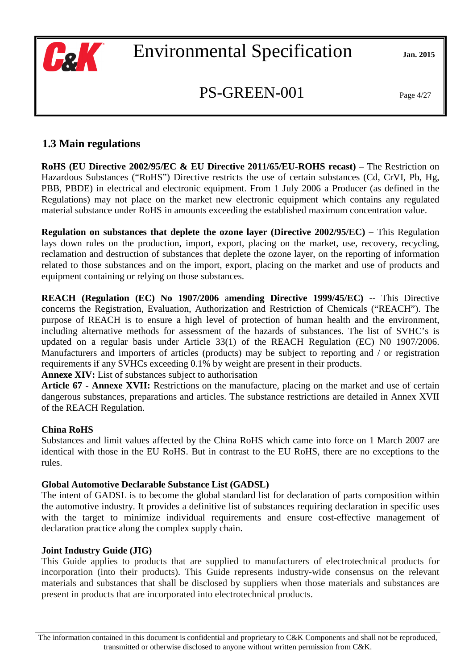

## $PS-GREEN-001$  Page 4/27

#### **1.3 Main regulations**

**RoHS (EU Directive 2002/95/EC & EU Directive 2011/65/EU-ROHS recast) – The Restriction on** Hazardous Substances ("RoHS") Directive restricts the use of certain substances (Cd, CrVI, Pb, Hg, PBB, PBDE) in electrical and electronic equipment. From 1 July 2006 a Producer (as defined in the Regulations) may not place on the market new electronic equipment which contains any regulated material substance under RoHS in amounts exceeding the established maximum concentration value.

**Regulation on substances that deplete the ozone layer (Directive 2002/95/EC) – This Regulation** lays down rules on the production, import, export, placing on the market, use, recovery, recycling, reclamation and destruction of substances that deplete the ozone layer, on the reporting of information related to those substances and on the import, export, placing on the market and use of products and equipment containing or relying on those substances.

**REACH (Regulation (EC) No 1907/2006** a**mending Directive 1999/45/EC) --** This Directive concerns the Registration, Evaluation, Authorization and Restriction of Chemicals ("REACH"). The purpose of REACH is to ensure a high level of protection of human health and the environment, including alternative methods for assessment of the hazards of substances. The list of SVHC's is updated on a regular basis under Article 33(1) of the REACH Regulation (EC) N0 1907/2006. Manufacturers and importers of articles (products) may be subject to reporting and / or registration requirements if any SVHCs exceeding 0.1% by weight are present in their products.

**Annexe XIV:** List of substances subject to authorisation

**Article 67 - Annexe XVII:** Restrictions on the manufacture, placing on the market and use of certain dangerous substances, preparations and articles. The substance restrictions are detailed in Annex XVII of the REACH Regulation.

#### **China RoHS**

Substances and limit values affected by the China RoHS which came into force on 1 March 2007 are identical with those in the EU RoHS. But in contrast to the EU RoHS, there are no exceptions to the rules.

#### **Global Automotive Declarable Substance List (GADSL)**

The intent of GADSL is to become the global standard list for declaration of parts composition within the automotive industry. It provides a definitive list of substances requiring declaration in specific uses with the target to minimize individual requirements and ensure cost-effective management of declaration practice along the complex supply chain.

#### **Joint Industry Guide (JIG)**

This Guide applies to products that are supplied to manufacturers of electrotechnical products for incorporation (into their products). This Guide represents industry-wide consensus on the relevant materials and substances that shall be disclosed by suppliers when those materials and substances are present in products that are incorporated into electrotechnical products.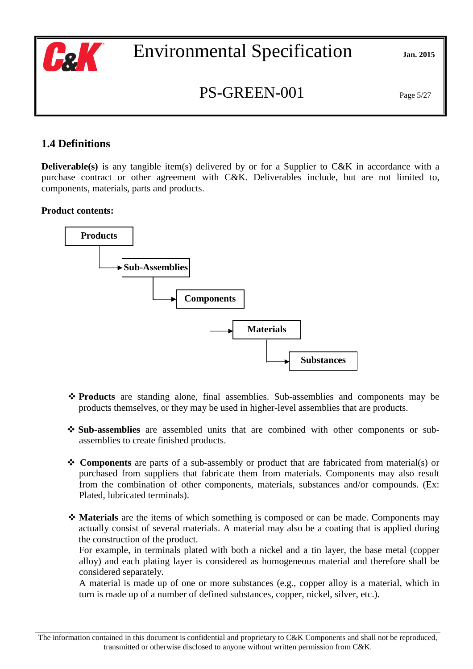

## $PS-GREEN-001$  Page 5/27

### **1.4 Definitions**

**Deliverable(s)** is any tangible item(s) delivered by or for a Supplier to C&K in accordance with a purchase contract or other agreement with C&K. Deliverables include, but are not limited to, components, materials, parts and products.

#### **Product contents:**



- **Products** are standing alone, final assemblies. Sub-assemblies and components may be products themselves, or they may be used in higher-level assemblies that are products.
- **Sub-assemblies** are assembled units that are combined with other components or subassemblies to create finished products.
- **Components** are parts of a sub-assembly or product that are fabricated from material(s) or purchased from suppliers that fabricate them from materials. Components may also result from the combination of other components, materials, substances and/or compounds. (Ex: Plated, lubricated terminals).
- **Materials** are the items of which something is composed or can be made. Components may actually consist of several materials. A material may also be a coating that is applied during the construction of the product.

For example, in terminals plated with both a nickel and a tin layer, the base metal (copper alloy) and each plating layer is considered as homogeneous material and therefore shall be considered separately.

A material is made up of one or more substances (e.g., copper alloy is a material, which in turn is made up of a number of defined substances, copper, nickel, silver, etc.).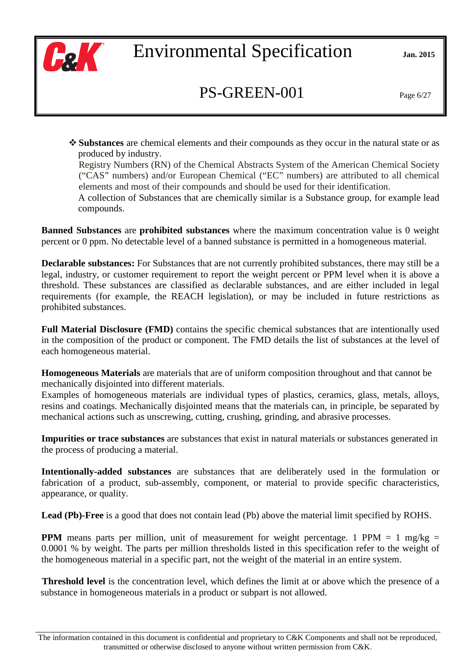

## $PS-GREEN-001$  Page 6/27

- **Substances** are chemical elements and their compounds as they occur in the natural state or as produced by industry.

Registry Numbers (RN) of the Chemical Abstracts System of the American Chemical Society ("CAS" numbers) and/or European Chemical ("EC" numbers) are attributed to all chemical elements and most of their compounds and should be used for their identification.

A collection of Substances that are chemically similar is a Substance group, for example lead compounds.

**Banned Substances** are **prohibited substances** where the maximum concentration value is 0 weight percent or 0 ppm. No detectable level of a banned substance is permitted in a homogeneous material.

**Declarable substances:** For Substances that are not currently prohibited substances, there may still be a legal, industry, or customer requirement to report the weight percent or PPM level when it is above a threshold. These substances are classified as declarable substances, and are either included in legal requirements (for example, the REACH legislation), or may be included in future restrictions as prohibited substances.

**Full Material Disclosure (FMD)** contains the specific chemical substances that are intentionally used in the composition of the product or component. The FMD details the list of substances at the level of each homogeneous material.

**Homogeneous Materials** are materials that are of uniform composition throughout and that cannot be mechanically disjointed into different materials.

Examples of homogeneous materials are individual types of plastics, ceramics, glass, metals, alloys, resins and coatings. Mechanically disjointed means that the materials can, in principle, be separated by mechanical actions such as unscrewing, cutting, crushing, grinding, and abrasive processes.

**Impurities or trace substances** are substances that exist in natural materials or substances generated in the process of producing a material.

**Intentionally-added substances** are substances that are deliberately used in the formulation or fabrication of a product, sub-assembly, component, or material to provide specific characteristics, appearance, or quality.

**Lead (Pb)-Free** is a good that does not contain lead (Pb) above the material limit specified by ROHS.

**PPM** means parts per million, unit of measurement for weight percentage. 1 PPM = 1 mg/kg = 0.0001 % by weight. The parts per million thresholds listed in this specification refer to the weight of the homogeneous material in a specific part, not the weight of the material in an entire system.

**Threshold level** is the concentration level, which defines the limit at or above which the presence of a substance in homogeneous materials in a product or subpart is not allowed.

The information contained in this document is confidential and proprietary to C&K Components and shall not be reproduced, transmitted or otherwise disclosed to anyone without written permission from C&K.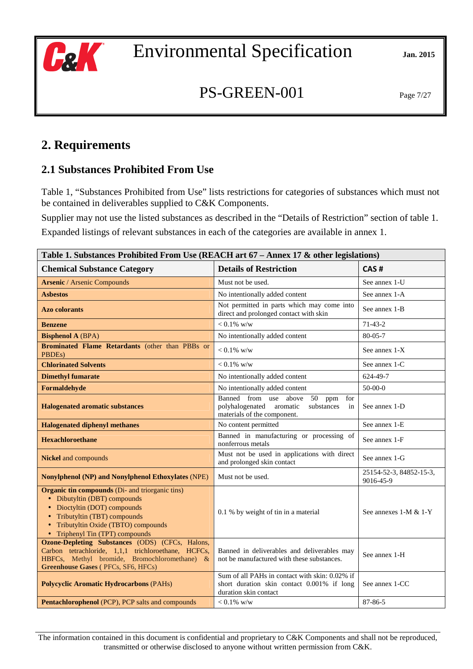

## PS-GREEN-001 Page 7/27

## **2. Requirements**

### **2.1 Substances Prohibited From Use**

Table 1, "Substances Prohibited from Use" lists restrictions for categories of substances which must not be contained in deliverables supplied to C&K Components.

Supplier may not use the listed substances as described in the "Details of Restriction" section of table 1. Expanded listings of relevant substances in each of the categories are available in annex 1.

| Table 1. Substances Prohibited From Use (REACH art 67 – Annex 17 & other legislations)                                                                                                                                             |                                                                                                                          |                                      |
|------------------------------------------------------------------------------------------------------------------------------------------------------------------------------------------------------------------------------------|--------------------------------------------------------------------------------------------------------------------------|--------------------------------------|
| <b>Chemical Substance Category</b>                                                                                                                                                                                                 | <b>Details of Restriction</b>                                                                                            | CAS#                                 |
| <b>Arsenic / Arsenic Compounds</b>                                                                                                                                                                                                 | Must not be used.                                                                                                        | See annex 1-U                        |
| <b>Asbestos</b>                                                                                                                                                                                                                    | No intentionally added content                                                                                           | See annex 1-A                        |
| <b>Azo colorants</b>                                                                                                                                                                                                               | Not permitted in parts which may come into<br>direct and prolonged contact with skin                                     | See annex 1-B                        |
| <b>Benzene</b>                                                                                                                                                                                                                     | $< 0.1\%$ w/w                                                                                                            | $71-43-2$                            |
| <b>Bisphenol A (BPA)</b>                                                                                                                                                                                                           | No intentionally added content                                                                                           | $80 - 05 - 7$                        |
| <b>Brominated Flame Retardants</b> (other than PBBs or<br>PBDEs)                                                                                                                                                                   | $< 0.1\%$ w/w                                                                                                            | See annex 1-X                        |
| <b>Chlorinated Solvents</b>                                                                                                                                                                                                        | $< 0.1\%$ w/w                                                                                                            | See annex 1-C                        |
| <b>Dimethyl fumarate</b>                                                                                                                                                                                                           | No intentionally added content                                                                                           | 624-49-7                             |
| Formaldehyde                                                                                                                                                                                                                       | No intentionally added content                                                                                           | $50-00-0$                            |
| <b>Halogenated aromatic substances</b>                                                                                                                                                                                             | Banned from use above<br>50<br>ppm<br>for<br>polyhalogenated aromatic<br>substances<br>in<br>materials of the component. | See annex 1-D                        |
| <b>Halogenated diphenyl methanes</b>                                                                                                                                                                                               | No content permitted                                                                                                     | See annex 1-E                        |
| <b>Hexachloroethane</b>                                                                                                                                                                                                            | Banned in manufacturing or processing of<br>nonferrous metals                                                            | See annex 1-F                        |
| <b>Nickel</b> and compounds                                                                                                                                                                                                        | Must not be used in applications with direct<br>and prolonged skin contact                                               | See annex 1-G                        |
| <b>Nonylphenol (NP) and Nonylphenol Ethoxylates (NPE)</b>                                                                                                                                                                          | Must not be used.                                                                                                        | 25154-52-3, 84852-15-3,<br>9016-45-9 |
| <b>Organic tin compounds</b> (Di- and triorganic tins)<br>• Dibutyltin (DBT) compounds<br>• Dioctyltin (DOT) compounds<br>• Tributyltin (TBT) compounds<br>• Tributyltin Oxide (TBTO) compounds<br>• Triphenyl Tin (TPT) compounds | 0.1 % by weight of tin in a material                                                                                     | See annexes 1-M & 1-Y                |
| <b>Ozone-Depleting Substances (ODS) (CFCs, Halons,</b><br>Carbon tetrachloride, 1,1,1 trichloroethane, HCFCs,<br>HBFCs, Methyl bromide, Bromochloromethane) &<br><b>Greenhouse Gases (PFCs, SF6, HFCs)</b>                         | Banned in deliverables and deliverables may<br>not be manufactured with these substances.                                | See annex 1-H                        |
| <b>Polycyclic Aromatic Hydrocarbons (PAHs)</b>                                                                                                                                                                                     | Sum of all PAHs in contact with skin: 0.02% if<br>short duration skin contact 0.001% if long<br>duration skin contact    | See annex 1-CC                       |
| Pentachlorophenol (PCP), PCP salts and compounds                                                                                                                                                                                   | $< 0.1\%$ w/w                                                                                                            | 87-86-5                              |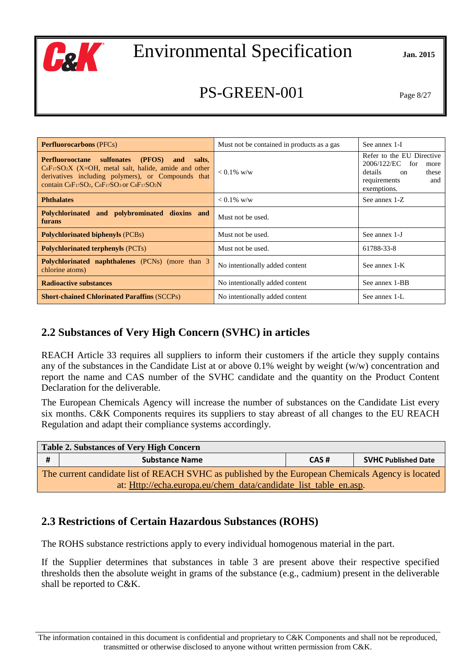

## PS-GREEN-001 Page 8/27

| <b>Perfluorocarbons</b> (PFCs)                                                                                                                                                                                                 | Must not be contained in products as a gas      | See annex 1-I                                                                                                        |
|--------------------------------------------------------------------------------------------------------------------------------------------------------------------------------------------------------------------------------|-------------------------------------------------|----------------------------------------------------------------------------------------------------------------------|
| sulfonates<br>(PFOS)<br><b>Perfluorooctane</b><br>salts.<br>and<br>$CsF_{17}SO_2X$ (X=OH, metal salt, halide, amide and other<br>derivatives including polymers), or Compounds that<br>contain CsF17SO2, CsF17SO3 or CsF17SO2N | $< 0.1\%$ w/w                                   | Refer to the EU Directive<br>2006/122/EC for<br>more<br>details<br>these<br>on<br>requirements<br>and<br>exemptions. |
| <b>Phthalates</b>                                                                                                                                                                                                              | $< 0.1\%$ w/w                                   | See annex 1-Z                                                                                                        |
| Polychlorinated and polybrominated dioxins and<br>furans                                                                                                                                                                       | Must not be used.                               |                                                                                                                      |
| <b>Polychlorinated biphenyls (PCBs)</b>                                                                                                                                                                                        | Must not be used.                               | See annex 1-J                                                                                                        |
| <b>Polychlorinated terphenyls (PCTs)</b>                                                                                                                                                                                       | Must not be used.                               | 61788-33-8                                                                                                           |
| <b>Polychlorinated naphthalenes</b> (PCNs) (more than 3<br>chlorine atoms)                                                                                                                                                     | No intentionally added content                  | See annex 1-K                                                                                                        |
| <b>Radioactive substances</b>                                                                                                                                                                                                  | No intentionally added content                  | See annex 1-BB                                                                                                       |
| <b>Short-chained Chlorinated Paraffins (SCCPs)</b>                                                                                                                                                                             | No intentionally added content<br>See annex 1-L |                                                                                                                      |

#### **2.2 Substances of Very High Concern (SVHC) in articles**

REACH Article 33 requires all suppliers to inform their customers if the article they supply contains any of the substances in the Candidate List at or above 0.1% weight by weight (w/w) concentration and report the name and CAS number of the SVHC candidate and the quantity on the Product Content Declaration for the deliverable.

The European Chemicals Agency will increase the number of substances on the Candidate List every six months. C&K Components requires its suppliers to stay abreast of all changes to the EU REACH Regulation and adapt their compliance systems accordingly.

| <b>Table 2. Substances of Very High Concern</b>                                                   |                                                             |  |  |
|---------------------------------------------------------------------------------------------------|-------------------------------------------------------------|--|--|
| -#                                                                                                | <b>SVHC Published Date</b><br><b>Substance Name</b><br>CAS# |  |  |
| The current candidate list of REACH SVHC as published by the European Chemicals Agency is located |                                                             |  |  |
| at: Http://echa.europa.eu/chem_data/candidate_list_table_en.asp.                                  |                                                             |  |  |

#### **2.3 Restrictions of Certain Hazardous Substances (ROHS)**

The ROHS substance restrictions apply to every individual homogenous material in the part.

If the Supplier determines that substances in table 3 are present above their respective specified thresholds then the absolute weight in grams of the substance (e.g., cadmium) present in the deliverable shall be reported to C&K.

The information contained in this document is confidential and proprietary to C&K Components and shall not be reproduced, transmitted or otherwise disclosed to anyone without written permission from C&K.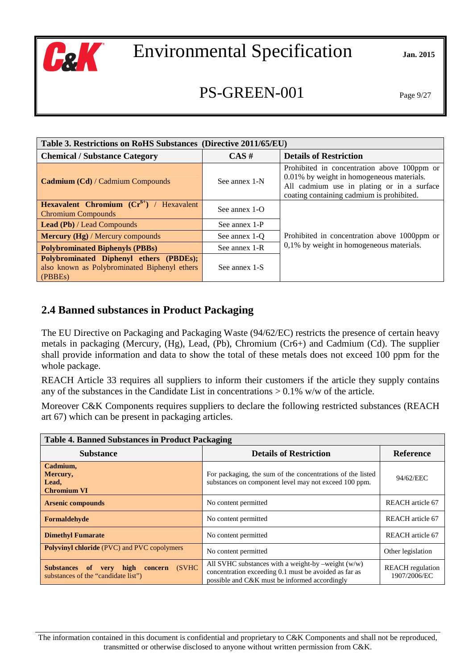

## PS-GREEN-001 Page 9/27

| Table 3. Restrictions on RoHS Substances (Directive 2011/65/EU)                                    |                      |                                                                                                                                                                                     |
|----------------------------------------------------------------------------------------------------|----------------------|-------------------------------------------------------------------------------------------------------------------------------------------------------------------------------------|
| <b>Chemical / Substance Category</b>                                                               | $CAS \#$             | <b>Details of Restriction</b>                                                                                                                                                       |
| <b>Cadmium (Cd) / Cadmium Compounds</b>                                                            | See annex 1-N        | Prohibited in concentration above 100ppm or<br>0.01% by weight in homogeneous materials.<br>All cadmium use in plating or in a surface<br>coating containing cadmium is prohibited. |
| <b>Hexavalent Chromium</b> $(\text{Cr}^{6+})$ / Hexavalent<br><b>Chromium Compounds</b>            | See annex $1-\Omega$ |                                                                                                                                                                                     |
| <b>Lead (Pb)</b> / Lead Compounds                                                                  | See annex 1-P        |                                                                                                                                                                                     |
| <b>Mercury (Hg)</b> / Mercury compounds                                                            | See annex 1-O        | Prohibited in concentration above 1000ppm or                                                                                                                                        |
| <b>Polybrominated Biphenyls (PBBs)</b>                                                             | See annex 1-R        | 0,1% by weight in homogeneous materials.                                                                                                                                            |
| Polybrominated Diphenyl ethers (PBDEs);<br>also known as Polybrominated Biphenyl ethers<br>(PBBEs) | See annex 1-S        |                                                                                                                                                                                     |

#### **2.4 Banned substances in Product Packaging**

The EU Directive on Packaging and Packaging Waste (94/62/EC) restricts the presence of certain heavy metals in packaging (Mercury, (Hg), Lead, (Pb), Chromium (Cr6+) and Cadmium (Cd). The supplier shall provide information and data to show the total of these metals does not exceed 100 ppm for the whole package.

REACH Article 33 requires all suppliers to inform their customers if the article they supply contains any of the substances in the Candidate List in concentrations  $> 0.1\%$  w/w of the article.

Moreover C&K Components requires suppliers to declare the following restricted substances (REACH art 67) which can be present in packaging articles.

| <b>Table 4. Banned Substances in Product Packaging</b>                             |                                                                                                                                                                |                                         |
|------------------------------------------------------------------------------------|----------------------------------------------------------------------------------------------------------------------------------------------------------------|-----------------------------------------|
| <b>Substance</b>                                                                   | <b>Details of Restriction</b>                                                                                                                                  | <b>Reference</b>                        |
| Cadmium,<br>Mercury,<br>Lead,<br><b>Chromium VI</b>                                | For packaging, the sum of the concentrations of the listed<br>substances on component level may not exceed 100 ppm.                                            | 94/62/EEC                               |
| <b>Arsenic compounds</b>                                                           | No content permitted                                                                                                                                           | REACH article 67                        |
| Formaldehyde                                                                       | No content permitted                                                                                                                                           | REACH article 67                        |
| <b>Dimethyl Fumarate</b>                                                           | No content permitted                                                                                                                                           | REACH article 67                        |
| <b>Polyvinyl chloride</b> (PVC) and PVC copolymers                                 | No content permitted                                                                                                                                           | Other legislation                       |
| (SVHC<br>very high concern<br>Substances of<br>substances of the "candidate list") | All SVHC substances with a weight-by –weight $(w/w)$<br>concentration exceeding 0.1 must be avoided as far as<br>possible and C&K must be informed accordingly | <b>REACH</b> regulation<br>1907/2006/EC |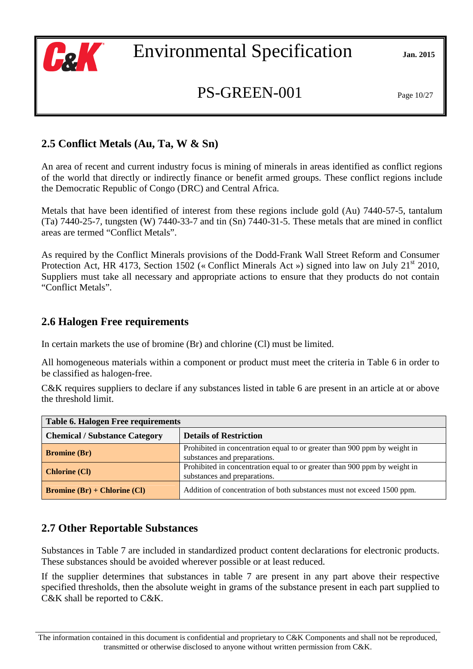

## PS-GREEN-001 Page 10/27

## **2.5 Conflict Metals (Au, Ta, W & Sn)**

An area of recent and current industry focus is mining of minerals in areas identified as conflict regions of the world that directly or indirectly finance or benefit armed groups. These conflict regions include the Democratic Republic of Congo (DRC) and Central Africa.

Metals that have been identified of interest from these regions include gold (Au) 7440-57-5, tantalum (Ta) 7440-25-7, tungsten (W) 7440-33-7 and tin (Sn) 7440-31-5. These metals that are mined in conflict areas are termed "Conflict Metals".

As required by the Conflict Minerals provisions of the Dodd-Frank Wall Street Reform and Consumer Protection Act, HR 4173, Section 1502 (« Conflict Minerals Act ») signed into law on July 21<sup>st</sup> 2010, Suppliers must take all necessary and appropriate actions to ensure that they products do not contain "Conflict Metals".

### **2.6 Halogen Free requirements**

In certain markets the use of bromine (Br) and chlorine (Cl) must be limited.

All homogeneous materials within a component or product must meet the criteria in Table 6 in order to be classified as halogen-free.

C&K requires suppliers to declare if any substances listed in table 6 are present in an article at or above the threshold limit.

| <b>Table 6. Halogen Free requirements</b>                                                                                         |                                                                                                           |  |
|-----------------------------------------------------------------------------------------------------------------------------------|-----------------------------------------------------------------------------------------------------------|--|
| <b>Chemical / Substance Category</b><br><b>Details of Restriction</b>                                                             |                                                                                                           |  |
| <b>Bromine</b> (Br)                                                                                                               | Prohibited in concentration equal to or greater than 900 ppm by weight in<br>substances and preparations. |  |
| Prohibited in concentration equal to or greater than 900 ppm by weight in<br><b>Chlorine (CI)</b><br>substances and preparations. |                                                                                                           |  |
| <b>Bromine</b> $(Br)$ + Chlorine $(Cl)$                                                                                           | Addition of concentration of both substances must not exceed 1500 ppm.                                    |  |

#### **2.7 Other Reportable Substances**

Substances in Table 7 are included in standardized product content declarations for electronic products. These substances should be avoided wherever possible or at least reduced.

If the supplier determines that substances in table 7 are present in any part above their respective specified thresholds, then the absolute weight in grams of the substance present in each part supplied to C&K shall be reported to C&K.

The information contained in this document is confidential and proprietary to C&K Components and shall not be reproduced, transmitted or otherwise disclosed to anyone without written permission from C&K.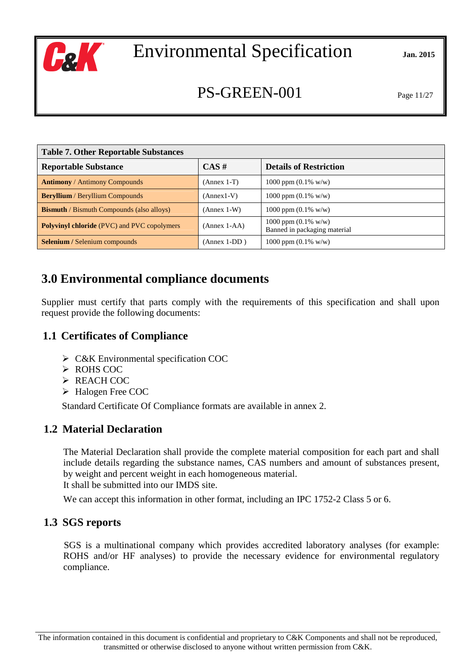

## $PS-GREEN-001$  Page 11/27

| <b>Table 7. Other Reportable Substances</b>        |                |                                                        |
|----------------------------------------------------|----------------|--------------------------------------------------------|
| <b>Reportable Substance</b>                        | $CAS \#$       | <b>Details of Restriction</b>                          |
| <b>Antimony / Antimony Compounds</b>               | $(Annex 1-T)$  | 1000 ppm $(0.1\%$ w/w)                                 |
| <b>Beryllium</b> / Beryllium Compounds             | $(Annex1-V)$   | 1000 ppm $(0.1\%$ w/w)                                 |
| <b>Bismuth</b> / Bismuth Compounds (also alloys)   | $(Annex 1-W)$  | 1000 ppm $(0.1\%$ w/w)                                 |
| <b>Polyvinyl chloride</b> (PVC) and PVC copolymers | $(Annex 1-AA)$ | 1000 ppm $(0.1\%$ w/w)<br>Banned in packaging material |
| <b>Selenium</b> / Selenium compounds               | $(Annex 1-DD)$ | 1000 ppm $(0.1\%$ w/w)                                 |

## **3.0 Environmental compliance documents**

Supplier must certify that parts comply with the requirements of this specification and shall upon request provide the following documents:

#### **1.1 Certificates of Compliance**

- C&K Environmental specification COC
- > ROHS COC
- $\triangleright$  REACH COC
- > Halogen Free COC

Standard Certificate Of Compliance formats are available in annex 2.

#### **1.2 Material Declaration**

The Material Declaration shall provide the complete material composition for each part and shall include details regarding the substance names, CAS numbers and amount of substances present, by weight and percent weight in each homogeneous material. It shall be submitted into our IMDS site.

We can accept this information in other format, including an IPC 1752-2 Class 5 or 6.

#### **1.3 SGS reports**

SGS is a multinational company which provides accredited laboratory analyses (for example: ROHS and/or HF analyses) to provide the necessary evidence for environmental regulatory compliance.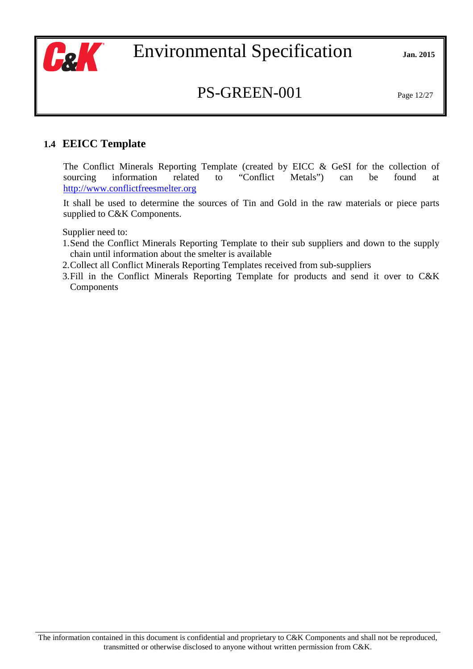

## PS-GREEN-001 Page 12/27

#### **1.4 EEICC Template**

The Conflict Minerals Reporting Template (created by EICC & GeSI for the collection of sourcing information related to "Conflict Metals") can be found at http://www.conflictfreesmelter.org

It shall be used to determine the sources of Tin and Gold in the raw materials or piece parts supplied to C&K Components.

Supplier need to:

- 1.Send the Conflict Minerals Reporting Template to their sub suppliers and down to the supply chain until information about the smelter is available
- 2.Collect all Conflict Minerals Reporting Templates received from sub-suppliers
- 3.Fill in the Conflict Minerals Reporting Template for products and send it over to C&K Components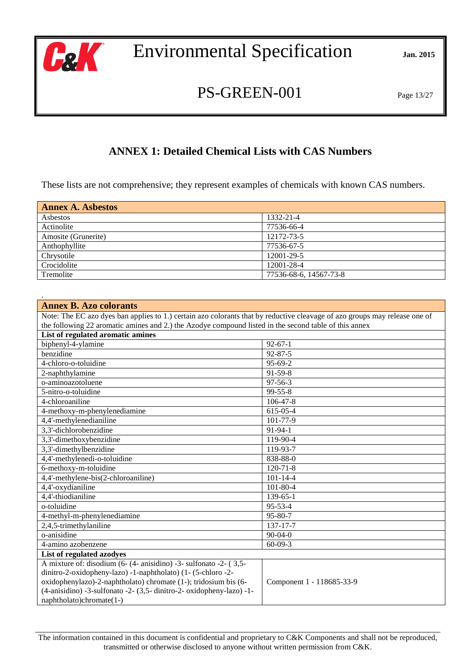

PS-GREEN-001 Page 13/27

### **ANNEX 1: Detailed Chemical Lists with CAS Numbers**

These lists are not comprehensive; they represent examples of chemicals with known CAS numbers.

| <b>Annex A. Asbestos</b> |                        |  |
|--------------------------|------------------------|--|
| Asbestos                 | 1332-21-4              |  |
| Actinolite               | 77536-66-4             |  |
| Amosite (Grunerite)      | 12172-73-5             |  |
| Anthophyllite            | 77536-67-5             |  |
| Chrysotile               | 12001-29-5             |  |
| Crocidolite              | 12001-28-4             |  |
| Tremolite                | 77536-68-6, 14567-73-8 |  |

| <b>Annex B. Azo colorants</b>                                                                                              |                           |  |  |
|----------------------------------------------------------------------------------------------------------------------------|---------------------------|--|--|
| Note: The EC azo dyes ban applies to 1.) certain azo colorants that by reductive cleavage of azo groups may release one of |                           |  |  |
| the following 22 aromatic amines and 2.) the Azodye compound listed in the second table of this annex                      |                           |  |  |
| List of regulated aromatic amines                                                                                          |                           |  |  |
| biphenyl-4-ylamine                                                                                                         | $92 - 67 - 1$             |  |  |
| benzidine                                                                                                                  | $92 - 87 - 5$             |  |  |
| 4-chloro-o-toluidine                                                                                                       | 95-69-2                   |  |  |
| 2-naphthylamine                                                                                                            | 91-59-8                   |  |  |
| o-aminoazotoluene                                                                                                          | $97 - 56 - 3$             |  |  |
| 5-nitro-o-toluidine                                                                                                        | 99-55-8                   |  |  |
| 4-chloroaniline                                                                                                            | 106-47-8                  |  |  |
| 4-methoxy-m-phenylenediamine                                                                                               | 615-05-4                  |  |  |
| 4,4'-methylenedianiline                                                                                                    | 101-77-9                  |  |  |
| 3,3'-dichlorobenzidine                                                                                                     | 91-94-1                   |  |  |
| 3,3'-dimethoxybenzidine                                                                                                    | 119-90-4                  |  |  |
| 3,3'-dimethylbenzidine                                                                                                     | 119-93-7                  |  |  |
| 4,4'-methylenedi-o-toluidine                                                                                               | 838-88-0                  |  |  |
| 6-methoxy-m-toluidine                                                                                                      | $120 - 71 - 8$            |  |  |
| 4,4'-methylene-bis(2-chloroaniline)                                                                                        | $101 - 14 - 4$            |  |  |
| 4,4'-oxydianiline                                                                                                          | $101 - 80 - 4$            |  |  |
| 4,4'-thiodianiline                                                                                                         | 139-65-1                  |  |  |
| o-toluidine                                                                                                                | 95-53-4                   |  |  |
| 4-methyl-m-phenylenediamine                                                                                                | 95-80-7                   |  |  |
| 2,4,5-trimethylaniline                                                                                                     | 137-17-7                  |  |  |
| o-anisidine                                                                                                                | $90 - 04 - 0$             |  |  |
| 4-amino azobenzene                                                                                                         | $60 - 09 - 3$             |  |  |
| List of regulated azodyes                                                                                                  |                           |  |  |
| A mixture of: disodium (6- (4- anisidino) -3- sulfonato -2- (3,5-                                                          |                           |  |  |
| dinitro-2-oxidopheny-lazo) -1-naphtholato) (1- (5-chloro -2-                                                               |                           |  |  |
| oxidophenylazo)-2-naphtholato) chromate (1-); tridosium bis (6-                                                            | Component 1 - 118685-33-9 |  |  |
| (4-anisidino) -3-sulfonato -2- (3,5- dinitro-2- oxidopheny-lazo) -1-                                                       |                           |  |  |
| naphtholato)chromate(1-)                                                                                                   |                           |  |  |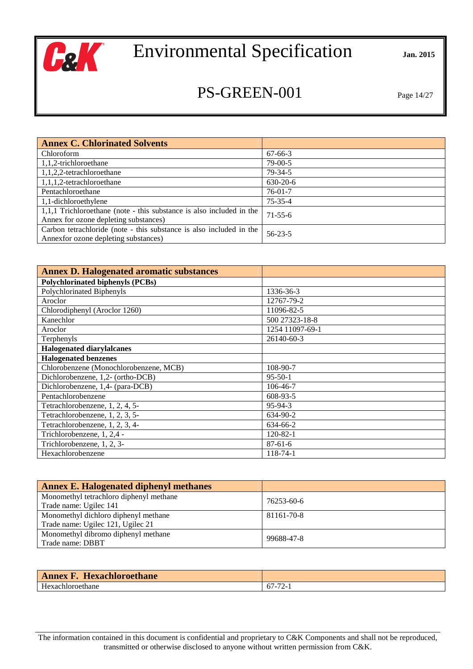

## PS-GREEN-001 Page 14/27

| <b>Annex C. Chlorinated Solvents</b>                                 |               |
|----------------------------------------------------------------------|---------------|
| Chloroform                                                           | 67-66-3       |
| 1,1,2-trichloroethane                                                | $79-00-5$     |
| 1,1,2,2-tetrachloroethane                                            | $79 - 34 - 5$ |
| $1,1,1,2$ -tetrachloroethane                                         | $630-20-6$    |
| Pentachloroethane                                                    | $76-01-7$     |
| 1,1-dichloroethylene                                                 | $75 - 35 - 4$ |
| 1,1,1 Trichloroethane (note - this substance is also included in the | $71-55-6$     |
| Annex for ozone depleting substances)                                |               |
| Carbon tetrachloride (note - this substance is also included in the  | $56 - 23 - 5$ |
| Annexfor ozone depleting substances)                                 |               |

| <b>Annex D. Halogenated aromatic substances</b> |                 |
|-------------------------------------------------|-----------------|
| <b>Polychlorinated biphenyls (PCBs)</b>         |                 |
| Polychlorinated Biphenyls                       | 1336-36-3       |
| Aroclor                                         | 12767-79-2      |
| Chlorodiphenyl (Aroclor 1260)                   | 11096-82-5      |
| Kanechlor                                       | 500 27323-18-8  |
| Aroclor                                         | 1254 11097-69-1 |
| Terphenyls                                      | 26140-60-3      |
| <b>Halogenated diarylalcanes</b>                |                 |
| <b>Halogenated benzenes</b>                     |                 |
| Chlorobenzene (Monochlorobenzene, MCB)          | 108-90-7        |
| Dichlorobenzene, 1,2- (ortho-DCB)               | $95 - 50 - 1$   |
| Dichlorobenzene, 1,4- (para-DCB)                | 106-46-7        |
| Pentachlorobenzene                              | 608-93-5        |
| Tetrachlorobenzene, 1, 2, 4, 5-                 | $95-94-3$       |
| Tetrachlorobenzene, 1, 2, 3, 5-                 | 634-90-2        |
| Tetrachlorobenzene, 1, 2, 3, 4-                 | 634-66-2        |
| Trichlorobenzene, 1, 2,4 -                      | $120 - 82 - 1$  |
| Trichlorobenzene, 1, 2, 3-                      | $87 - 61 - 6$   |
| Hexachlorobenzene                               | $118 - 74 - 1$  |

| <b>Annex E. Halogenated diphenyl methanes</b> |            |
|-----------------------------------------------|------------|
| Monomethyl tetrachloro diphenyl methane       | 76253-60-6 |
| Trade name: Ugilec 141                        |            |
| Monomethyl dichloro diphenyl methane          | 81161-70-8 |
| Trade name: Ugilec 121, Ugilec 21             |            |
| Monomethyl dibromo diphenyl methane           | 99688-47-8 |
| Trade name: DBBT                              |            |

| <b>Hexachloroethane</b><br><b>Annex F</b> |                                   |
|-------------------------------------------|-----------------------------------|
| Hexachloroethane                          | $\overline{a}$<br>$67 -$<br>. 2-1 |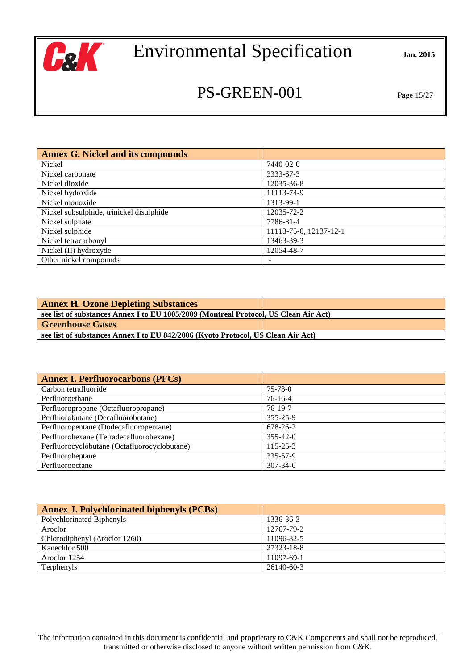

## PS-GREEN-001 Page 15/27

| <b>Annex G. Nickel and its compounds</b> |                        |
|------------------------------------------|------------------------|
| Nickel                                   | 7440-02-0              |
| Nickel carbonate                         | 3333-67-3              |
| Nickel dioxide                           | 12035-36-8             |
| Nickel hydroxide                         | 11113-74-9             |
| Nickel monoxide                          | 1313-99-1              |
| Nickel subsulphide, trinickel disulphide | 12035-72-2             |
| Nickel sulphate                          | 7786-81-4              |
| Nickel sulphide                          | 11113-75-0, 12137-12-1 |
| Nickel tetracarbonyl                     | 13463-39-3             |
| Nickel (II) hydroxyde                    | 12054-48-7             |
| Other nickel compounds                   | ٠                      |

| <b>Annex H. Ozone Depleting Substances</b>                                           |  |
|--------------------------------------------------------------------------------------|--|
| see list of substances Annex I to EU 1005/2009 (Montreal Protocol, US Clean Air Act) |  |
| <b>Greenhouse Gases</b>                                                              |  |
| see list of substances Annex I to EU 842/2006 (Kyoto Protocol, US Clean Air Act)     |  |

| <b>Annex I. Perfluorocarbons (PFCs)</b>      |                |
|----------------------------------------------|----------------|
| Carbon tetrafluoride                         | $75 - 73 - 0$  |
| Perfluoroethane                              | $76-16-4$      |
| Perfluoropropane (Octafluoropropane)         | $76-19-7$      |
| Perfluorobutane (Decafluorobutane)           | $355 - 25 - 9$ |
| Perfluoropentane (Dodecafluoropentane)       | 678-26-2       |
| Perfluorohexane (Tetradecafluorohexane)      | $355 - 42 - 0$ |
| Perfluorocyclobutane (Octafluorocyclobutane) | $115 - 25 - 3$ |
| Perfluoroheptane                             | 335-57-9       |
| Perfluorooctane                              | $307 - 34 - 6$ |

| <b>Annex J. Polychlorinated biphenyls (PCBs)</b> |            |
|--------------------------------------------------|------------|
| Polychlorinated Biphenyls                        | 1336-36-3  |
| Aroclor                                          | 12767-79-2 |
| Chlorodiphenyl (Aroclor 1260)                    | 11096-82-5 |
| Kanechlor 500                                    | 27323-18-8 |
| Aroclor 1254                                     | 11097-69-1 |
| Terphenyls                                       | 26140-60-3 |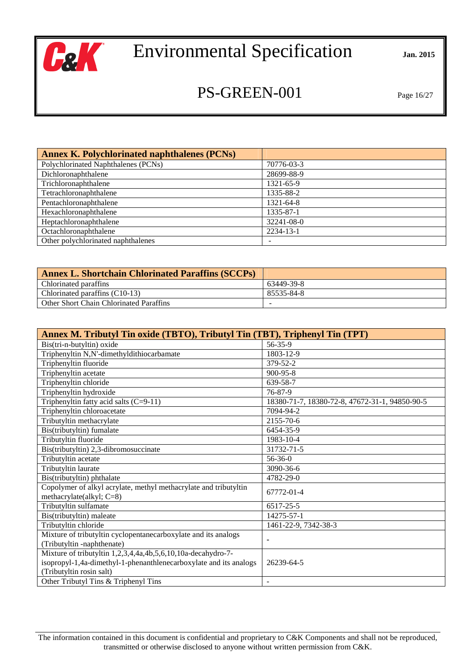

## PS-GREEN-001 Page 16/27

| <b>Annex K. Polychlorinated naphthalenes (PCNs)</b> |            |
|-----------------------------------------------------|------------|
| Polychlorinated Naphthalenes (PCNs)                 | 70776-03-3 |
| Dichloronaphthalene                                 | 28699-88-9 |
| Trichloronaphthalene                                | 1321-65-9  |
| Tetrachloronaphthalene                              | 1335-88-2  |
| Pentachloronaphthalene                              | 1321-64-8  |
| Hexachloronaphthalene                               | 1335-87-1  |
| Heptachloronaphthalene                              | 32241-08-0 |
| Octachloronaphthalene                               | 2234-13-1  |
| Other polychlorinated naphthalenes                  |            |

| <b>Annex L. Shortchain Chlorinated Paraffins (SCCPs)</b> |            |
|----------------------------------------------------------|------------|
| <b>Chlorinated paraffins</b>                             | 63449-39-8 |
| Chlorinated paraffins $(C10-13)$                         | 85535-84-8 |
| <b>Other Short Chain Chlorinated Paraffins</b>           | -          |

| Annex M. Tributyl Tin oxide (TBTO), Tributyl Tin (TBT), Triphenyl Tin (TPT) |                                                |
|-----------------------------------------------------------------------------|------------------------------------------------|
| Bis(tri-n-butyltin) oxide                                                   | 56-35-9                                        |
| Triphenyltin N,N'-dimethyldithiocarbamate                                   | 1803-12-9                                      |
| Triphenyltin fluoride                                                       | 379-52-2                                       |
| Triphenyltin acetate                                                        | 900-95-8                                       |
| Triphenyltin chloride                                                       | 639-58-7                                       |
| Triphenyltin hydroxide                                                      | $76 - 87 - 9$                                  |
| Triphenyltin fatty acid salts $(C=9-11)$                                    | 18380-71-7, 18380-72-8, 47672-31-1, 94850-90-5 |
| Triphenyltin chloroacetate                                                  | 7094-94-2                                      |
| Tributyltin methacrylate                                                    | 2155-70-6                                      |
| Bis(tributyltin) fumalate                                                   | 6454-35-9                                      |
| Tributyltin fluoride                                                        | 1983-10-4                                      |
| Bis(tributyltin) 2,3-dibromosuccinate                                       | 31732-71-5                                     |
| Tributyltin acetate                                                         | $56 - 36 - 0$                                  |
| Tributyltin laurate                                                         | 3090-36-6                                      |
| Bis(tributyltin) phthalate                                                  | 4782-29-0                                      |
| Copolymer of alkyl acrylate, methyl methacrylate and tributyltin            | 67772-01-4                                     |
| methacrylate(alkyl; C=8)                                                    |                                                |
| Tributyltin sulfamate                                                       | 6517-25-5                                      |
| Bis(tributyltin) maleate                                                    | 14275-57-1                                     |
| Tributyltin chloride                                                        | 1461-22-9, 7342-38-3                           |
| Mixture of tributyltin cyclopentanecarboxylate and its analogs              | ٠                                              |
| (Tributyltin -naphthenate)                                                  |                                                |
| Mixture of tributyltin 1,2,3,4,4a,4b,5,6,10,10a-decahydro-7-                |                                                |
| isopropyl-1,4a-dimethyl-1-phenanthlenecarboxylate and its analogs           | 26239-64-5                                     |
| (Tributyltin rosin salt)                                                    |                                                |
| Other Tributyl Tins & Triphenyl Tins                                        |                                                |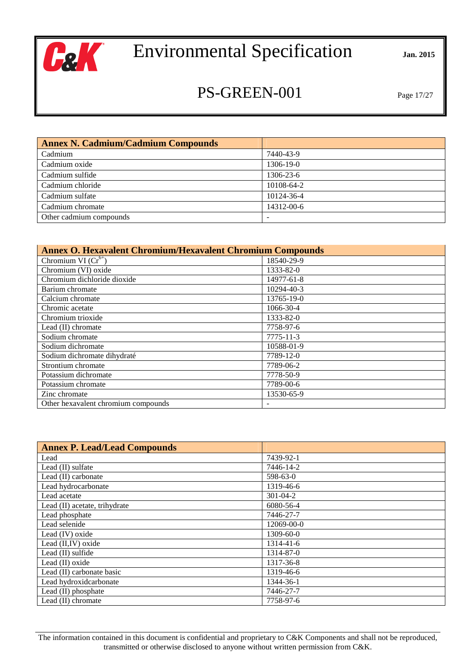

## PS-GREEN-001 Page 17/27

| <b>Annex N. Cadmium/Cadmium Compounds</b> |            |
|-------------------------------------------|------------|
| Cadmium                                   | 7440-43-9  |
| Cadmium oxide                             | 1306-19-0  |
| Cadmium sulfide                           | 1306-23-6  |
| Cadmium chloride                          | 10108-64-2 |
| Cadmium sulfate                           | 10124-36-4 |
| Cadmium chromate                          | 14312-00-6 |
| Other cadmium compounds                   |            |

| <b>Annex O. Hexavalent Chromium/Hexavalent Chromium Compounds</b> |            |
|-------------------------------------------------------------------|------------|
| Chromium VI $(Cr^{6+})$                                           | 18540-29-9 |
| Chromium (VI) oxide                                               | 1333-82-0  |
| Chromium dichloride dioxide                                       | 14977-61-8 |
| Barium chromate                                                   | 10294-40-3 |
| Calcium chromate                                                  | 13765-19-0 |
| Chromic acetate                                                   | 1066-30-4  |
| Chromium trioxide                                                 | 1333-82-0  |
| Lead (II) chromate                                                | 7758-97-6  |
| Sodium chromate                                                   | 7775-11-3  |
| Sodium dichromate                                                 | 10588-01-9 |
| Sodium dichromate dihydraté                                       | 7789-12-0  |
| Strontium chromate                                                | 7789-06-2  |
| Potassium dichromate                                              | 7778-50-9  |
| Potassium chromate                                                | 7789-00-6  |
| Zinc chromate                                                     | 13530-65-9 |
| Other hexavalent chromium compounds                               |            |

| <b>Annex P. Lead/Lead Compounds</b> |                |
|-------------------------------------|----------------|
| Lead                                | 7439-92-1      |
| Lead (II) sulfate                   | 7446-14-2      |
| Lead (II) carbonate                 | 598-63-0       |
| Lead hydrocarbonate                 | 1319-46-6      |
| Lead acetate                        | $301 - 04 - 2$ |
| Lead (II) acetate, trihydrate       | 6080-56-4      |
| Lead phosphate                      | 7446-27-7      |
| Lead selenide                       | 12069-00-0     |
| Lead (IV) oxide                     | 1309-60-0      |
| Lead (II, IV) oxide                 | 1314-41-6      |
| Lead (II) sulfide                   | 1314-87-0      |
| Lead (II) oxide                     | 1317-36-8      |
| Lead (II) carbonate basic           | 1319-46-6      |
| Lead hydroxidcarbonate              | 1344-36-1      |
| Lead (II) phosphate                 | 7446-27-7      |
| Lead (II) chromate                  | 7758-97-6      |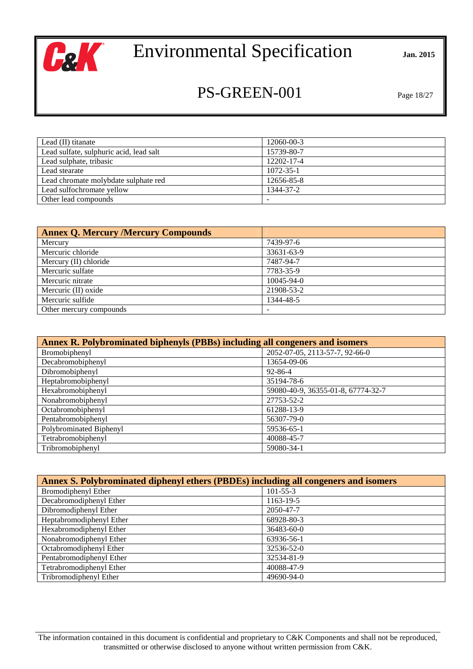

## PS-GREEN-001 Page 18/27

| Lead $(II)$ titanate                    | 12060-00-3      |
|-----------------------------------------|-----------------|
| Lead sulfate, sulphuric acid, lead salt | 15739-80-7      |
| Lead sulphate, tribasic                 | 12202-17-4      |
| Lead stearate                           | $1072 - 35 - 1$ |
| Lead chromate molybdate sulphate red    | 12656-85-8      |
| Lead sulfochromate yellow               | 1344-37-2       |
| Other lead compounds                    |                 |

| <b>Annex Q. Mercury /Mercury Compounds</b> |                  |
|--------------------------------------------|------------------|
| Mercury                                    | 7439-97-6        |
| Mercuric chloride                          | 33631-63-9       |
| Mercury (II) chloride                      | 7487-94-7        |
| Mercuric sulfate                           | 7783-35-9        |
| Mercuric nitrate                           | $10045 - 94 - 0$ |
| Mercuric (II) oxide                        | 21908-53-2       |
| Mercuric sulfide                           | 1344-48-5        |
| Other mercury compounds                    |                  |

| Annex R. Polybrominated biphenyls (PBBs) including all congeners and isomers |                                    |
|------------------------------------------------------------------------------|------------------------------------|
| Bromobiphenyl                                                                | 2052-07-05, 2113-57-7, 92-66-0     |
| Decabromobiphenyl                                                            | 13654-09-06                        |
| Dibromobiphenyl                                                              | $92 - 86 - 4$                      |
| Heptabromobiphenyl                                                           | 35194-78-6                         |
| Hexabromobiphenyl                                                            | 59080-40-9, 36355-01-8, 67774-32-7 |
| Nonabromobiphenyl                                                            | 27753-52-2                         |
| Octabromobiphenyl                                                            | 61288-13-9                         |
| Pentabromobiphenyl                                                           | 56307-79-0                         |
| Polybrominated Biphenyl                                                      | 59536-65-1                         |
| Tetrabromobiphenyl                                                           | 40088-45-7                         |
| Tribromobiphenyl                                                             | 59080-34-1                         |

| Annex S. Polybrominated diphenyl ethers (PBDEs) including all congeners and isomers |                  |  |
|-------------------------------------------------------------------------------------|------------------|--|
| Bromodiphenyl Ether                                                                 | $101 - 55 - 3$   |  |
| Decabromodiphenyl Ether                                                             | 1163-19-5        |  |
| Dibromodiphenyl Ether                                                               | 2050-47-7        |  |
| Heptabromodiphenyl Ether                                                            | 68928-80-3       |  |
| Hexabromodiphenyl Ether                                                             | 36483-60-0       |  |
| Nonabromodiphenyl Ether                                                             | 63936-56-1       |  |
| Octabromodiphenyl Ether                                                             | 32536-52-0       |  |
| Pentabromodiphenyl Ether                                                            | 32534-81-9       |  |
| Tetrabromodiphenyl Ether                                                            | 40088-47-9       |  |
| Tribromodiphenyl Ether                                                              | $49690 - 94 - 0$ |  |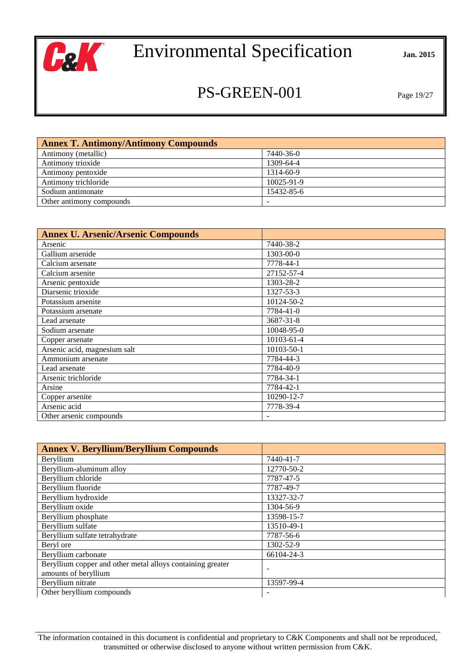

## PS-GREEN-001 Page 19/27

| <b>Annex T. Antimony/Antimony Compounds</b> |            |
|---------------------------------------------|------------|
| Antimony (metallic)                         | 7440-36-0  |
| Antimony trioxide                           | 1309-64-4  |
| Antimony pentoxide                          | 1314-60-9  |
| Antimony trichloride                        | 10025-91-9 |
| Sodium antimonate                           | 15432-85-6 |
| Other antimony compounds                    |            |

| <b>Annex U. Arsenic/Arsenic Compounds</b> |            |
|-------------------------------------------|------------|
| Arsenic                                   | 7440-38-2  |
| Gallium arsenide                          | 1303-00-0  |
| Calcium arsenate                          | 7778-44-1  |
| Calcium arsenite                          | 27152-57-4 |
| Arsenic pentoxide                         | 1303-28-2  |
| Diarsenic trioxide                        | 1327-53-3  |
| Potassium arsenite                        | 10124-50-2 |
| Potassium arsenate                        | 7784-41-0  |
| Lead arsenate                             | 3687-31-8  |
| Sodium arsenate                           | 10048-95-0 |
| Copper arsenate                           | 10103-61-4 |
| Arsenic acid, magnesium salt              | 10103-50-1 |
| Ammonium arsenate                         | 7784-44-3  |
| Lead arsenate                             | 7784-40-9  |
| Arsenic trichloride                       | 7784-34-1  |
| Arsine                                    | 7784-42-1  |
| Copper arsenite                           | 10290-12-7 |
| Arsenic acid                              | 7778-39-4  |
| Other arsenic compounds                   |            |

| <b>Annex V. Beryllium/Beryllium Compounds</b>              |            |
|------------------------------------------------------------|------------|
| Beryllium                                                  | 7440-41-7  |
| Beryllium-aluminum alloy                                   | 12770-50-2 |
| Beryllium chloride                                         | 7787-47-5  |
| Beryllium fluoride                                         | 7787-49-7  |
| Beryllium hydroxide                                        | 13327-32-7 |
| Beryllium oxide                                            | 1304-56-9  |
| Beryllium phosphate                                        | 13598-15-7 |
| Beryllium sulfate                                          | 13510-49-1 |
| Beryllium sulfate tetrahydrate                             | 7787-56-6  |
| Beryl ore                                                  | 1302-52-9  |
| Beryllium carbonate                                        | 66104-24-3 |
| Beryllium copper and other metal alloys containing greater |            |
| amounts of beryllium                                       |            |
| Beryllium nitrate                                          | 13597-99-4 |
| Other beryllium compounds                                  |            |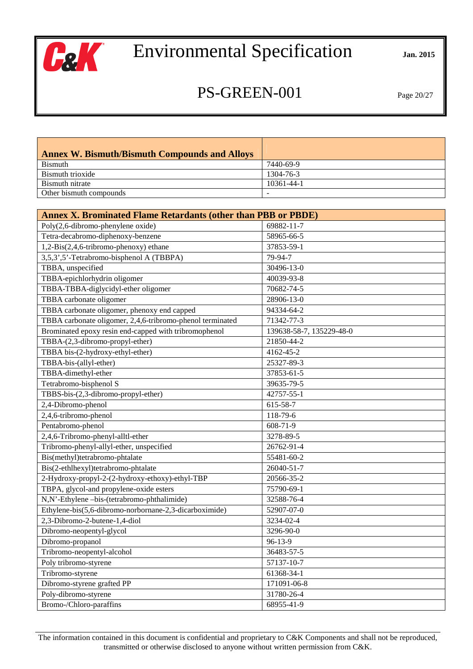

## PS-GREEN-001 Page 20/27

| <b>Annex W. Bismuth/Bismuth Compounds and Alloys</b> |            |
|------------------------------------------------------|------------|
| Bismuth                                              | 7440-69-9  |
| Bismuth trioxide                                     | 1304-76-3  |
| Bismuth nitrate                                      | 10361-44-1 |
| Other bismuth compounds                              |            |

| <b>Annex X. Brominated Flame Retardants (other than PBB or PBDE)</b> |                          |
|----------------------------------------------------------------------|--------------------------|
| Poly(2,6-dibromo-phenylene oxide)                                    | 69882-11-7               |
| Tetra-decabromo-diphenoxy-benzene                                    | 58965-66-5               |
| 1,2-Bis(2,4,6-tribromo-phenoxy) ethane                               | 37853-59-1               |
| 3,5,3',5'-Tetrabromo-bisphenol A (TBBPA)                             | 79-94-7                  |
| TBBA, unspecified                                                    | 30496-13-0               |
| TBBA-epichlorhydrin oligomer                                         | 40039-93-8               |
| TBBA-TBBA-diglycidyl-ether oligomer                                  | 70682-74-5               |
| TBBA carbonate oligomer                                              | 28906-13-0               |
| TBBA carbonate oligomer, phenoxy end capped                          | 94334-64-2               |
| TBBA carbonate oligomer, 2,4,6-tribromo-phenol terminated            | 71342-77-3               |
| Brominated epoxy resin end-capped with tribromophenol                | 139638-58-7, 135229-48-0 |
| TBBA-(2,3-dibromo-propyl-ether)                                      | 21850-44-2               |
| TBBA bis-(2-hydroxy-ethyl-ether)                                     | 4162-45-2                |
| TBBA-bis-(allyl-ether)                                               | 25327-89-3               |
| TBBA-dimethyl-ether                                                  | 37853-61-5               |
| Tetrabromo-bisphenol S                                               | 39635-79-5               |
| TBBS-bis-(2,3-dibromo-propyl-ether)                                  | 42757-55-1               |
| 2,4-Dibromo-phenol                                                   | 615-58-7                 |
| 2,4,6-tribromo-phenol                                                | 118-79-6                 |
| Pentabromo-phenol                                                    | 608-71-9                 |
| 2,4,6-Tribromo-phenyl-alltl-ether                                    | 3278-89-5                |
| Tribromo-phenyl-allyl-ether, unspecified                             | 26762-91-4               |
| Bis(methyl)tetrabromo-phtalate                                       | 55481-60-2               |
| Bis(2-ethlhexyl)tetrabromo-phtalate                                  | 26040-51-7               |
| 2-Hydroxy-propyl-2-(2-hydroxy-ethoxy)-ethyl-TBP                      | 20566-35-2               |
| TBPA, glycol-and propylene-oxide esters                              | 75790-69-1               |
| N,N'-Ethylene -bis-(tetrabromo-phthalimide)                          | 32588-76-4               |
| Ethylene-bis(5,6-dibromo-norbornane-2,3-dicarboximide)               | 52907-07-0               |
| 2,3-Dibromo-2-butene-1,4-diol                                        | 3234-02-4                |
| Dibromo-neopentyl-glycol                                             | 3296-90-0                |
| Dibromo-propanol                                                     | 96-13-9                  |
| Tribromo-neopentyl-alcohol                                           | 36483-57-5               |
| Poly tribromo-styrene                                                | 57137-10-7               |
| Tribromo-styrene                                                     | 61368-34-1               |
| Dibromo-styrene grafted PP                                           | 171091-06-8              |
| Poly-dibromo-styrene                                                 | 31780-26-4               |
| Bromo-/Chloro-paraffins                                              | 68955-41-9               |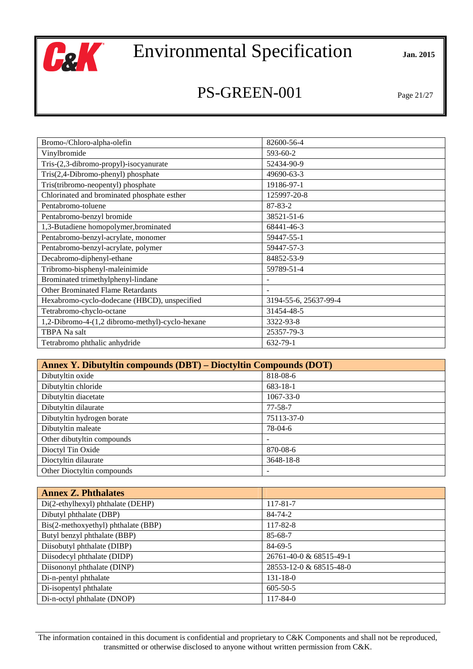

## PS-GREEN-001 Page 21/27

| Bromo-/Chloro-alpha-olefin                      | 82600-56-4               |
|-------------------------------------------------|--------------------------|
| Vinylbromide                                    | 593-60-2                 |
| Tris-(2,3-dibromo-propyl)-isocyanurate          | 52434-90-9               |
| Tris(2,4-Dibromo-phenyl) phosphate              | 49690-63-3               |
| Tris(tribromo-neopentyl) phosphate              | 19186-97-1               |
| Chlorinated and brominated phosphate esther     | 125997-20-8              |
| Pentabromo-toluene                              | 87-83-2                  |
| Pentabromo-benzyl bromide                       | 38521-51-6               |
| 1,3-Butadiene homopolymer, brominated           | 68441-46-3               |
| Pentabromo-benzyl-acrylate, monomer             | 59447-55-1               |
| Pentabromo-benzyl-acrylate, polymer             | 59447-57-3               |
| Decabromo-diphenyl-ethane                       | 84852-53-9               |
| Tribromo-bisphenyl-maleinimide                  | 59789-51-4               |
| Brominated trimethylphenyl-lindane              | $\overline{\phantom{a}}$ |
| <b>Other Brominated Flame Retardants</b>        | $\overline{\phantom{a}}$ |
| Hexabromo-cyclo-dodecane (HBCD), unspecified    | 3194-55-6, 25637-99-4    |
| Tetrabromo-chyclo-octane                        | 31454-48-5               |
| 1,2-Dibromo-4-(1,2 dibromo-methyl)-cyclo-hexane | 3322-93-8                |
| TBPA Na salt                                    | 25357-79-3               |
| Tetrabromo phthalic anhydride                   | 632-79-1                 |

| <b>Annex Y. Dibutyltin compounds (DBT) – Dioctyltin Compounds (DOT)</b> |                 |  |
|-------------------------------------------------------------------------|-----------------|--|
| Dibutyltin oxide                                                        | 818-08-6        |  |
| Dibutyltin chloride                                                     | 683-18-1        |  |
| Dibutyltin diacetate                                                    | $1067 - 33 - 0$ |  |
| Dibutyltin dilaurate                                                    | 77-58-7         |  |
| Dibutyltin hydrogen borate                                              | 75113-37-0      |  |
| Dibutyltin maleate                                                      | 78-04-6         |  |
| Other dibutyltin compounds                                              |                 |  |
| Dioctyl Tin Oxide                                                       | 870-08-6        |  |
| Dioctyltin dilaurate                                                    | 3648-18-8       |  |
| Other Dioctyltin compounds                                              |                 |  |

| <b>Annex Z. Phthalates</b>          |                         |
|-------------------------------------|-------------------------|
| Di(2-ethylhexyl) phthalate (DEHP)   | 117-81-7                |
| Dibutyl phthalate (DBP)             | 84-74-2                 |
| Bis(2-methoxyethyl) phthalate (BBP) | 117-82-8                |
| Butyl benzyl phthalate (BBP)        | 85-68-7                 |
| Diisobutyl phthalate (DIBP)         | 84-69-5                 |
| Diisodecyl phthalate (DIDP)         | 26761-40-0 & 68515-49-1 |
| Diisononyl phthalate (DINP)         | 28553-12-0 & 68515-48-0 |
| Di-n-pentyl phthalate               | $131 - 18 - 0$          |
| Di-isopentyl phthalate              | $605 - 50 - 5$          |
| Di-n-octyl phthalate (DNOP)         | $117 - 84 - 0$          |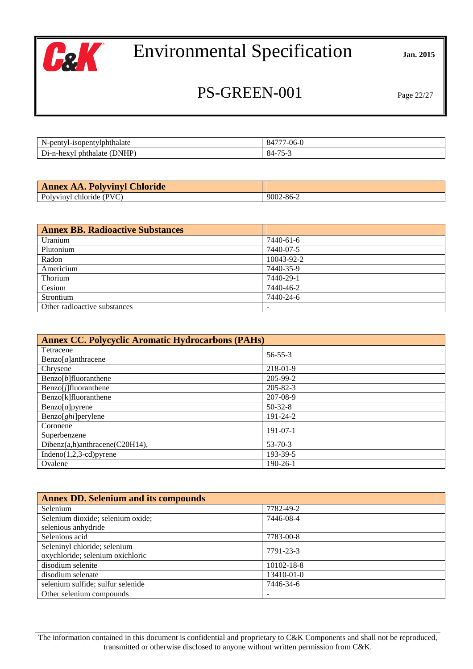

## PS-GREEN-001 Page 22/27

| $N-$<br>tviphthalate<br>-nentyl-isone<br>$-$ | $\sim$<br>$\Omega$<br><u>′-06-u</u> |
|----------------------------------------------|-------------------------------------|
| NHP)                                         | $- -$                               |
| D                                            | $\mathbf{Q}$ /                      |
| ъN.                                          |                                     |
| thalate.                                     | $\Delta\Delta$                      |
| nh.                                          | $\mathbf{r}$                        |
| $D1$ -n-hey                                  | ູບ−                                 |
| ТΩ.                                          | $\overline{\phantom{a}}$            |

| <b>Annex AA. Polyvinyl Chloride</b> |           |
|-------------------------------------|-----------|
| Polyvinyl chloride (PVC)            | 9002-86-2 |

| Annex BB. Radioactive Substances |            |
|----------------------------------|------------|
| Uranium                          | 7440-61-6  |
| Plutonium                        | 7440-07-5  |
| Radon                            | 10043-92-2 |
| Americium                        | 7440-35-9  |
| Thorium                          | 7440-29-1  |
| Cesium                           | 7440-46-2  |
| Strontium                        | 7440-24-6  |
| Other radioactive substances     |            |

| <b>Annex CC. Polycyclic Aromatic Hydrocarbons (PAHs)</b> |                |  |
|----------------------------------------------------------|----------------|--|
| Tetracene                                                | $56 - 55 - 3$  |  |
| $Benzo[a]$ anthracene                                    |                |  |
| Chrysene                                                 | 218-01-9       |  |
| $\text{Benzo}[b]$ fluoranthene                           | 205-99-2       |  |
| $Benzo[j]$ fluoranthene                                  | $205 - 82 - 3$ |  |
| Benzo[k]fluoranthene                                     | 207-08-9       |  |
| $\text{Benzo}[a]$ pyrene                                 | $50-32-8$      |  |
| Benzo[ <i>ghi</i> ]perylene                              | $191 - 24 - 2$ |  |
| Coronene                                                 | $191-07-1$     |  |
| Superbenzene                                             |                |  |
| Dibenz(a,h)anthracene(C20H14),                           | $53 - 70 - 3$  |  |
| $Indeno(1,2,3-cd)pyrene$                                 | 193-39-5       |  |
| Ovalene                                                  | $190 - 26 - 1$ |  |

| <b>Annex DD. Selenium and its compounds</b> |            |  |
|---------------------------------------------|------------|--|
| Selenium                                    | 7782-49-2  |  |
| Selenium dioxide; selenium oxide;           | 7446-08-4  |  |
| selenious anhydride                         |            |  |
| Selenious acid                              | 7783-00-8  |  |
| Seleninyl chloride; selenium                | 7791-23-3  |  |
| oxychloride; selenium oxichloric            |            |  |
| disodium selenite                           | 10102-18-8 |  |
| disodium selenate                           | 13410-01-0 |  |
| selenium sulfide; sulfur selenide           | 7446-34-6  |  |
| Other selenium compounds                    |            |  |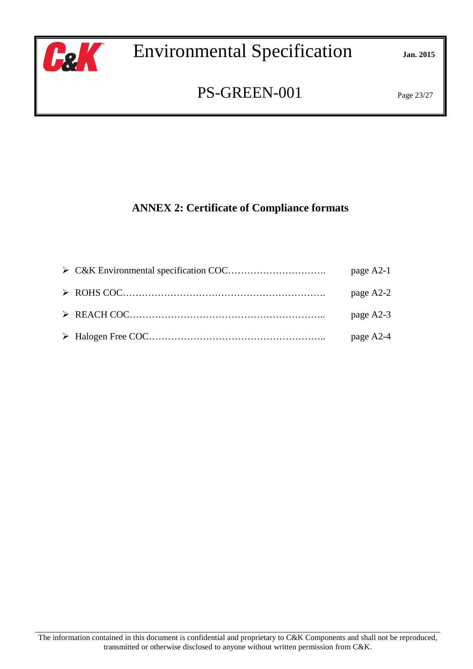

## PS-GREEN-001 Page 23/27

## **ANNEX 2: Certificate of Compliance formats**

|  | page A2-1 |
|--|-----------|
|  | page A2-2 |
|  | page A2-3 |
|  | page A2-4 |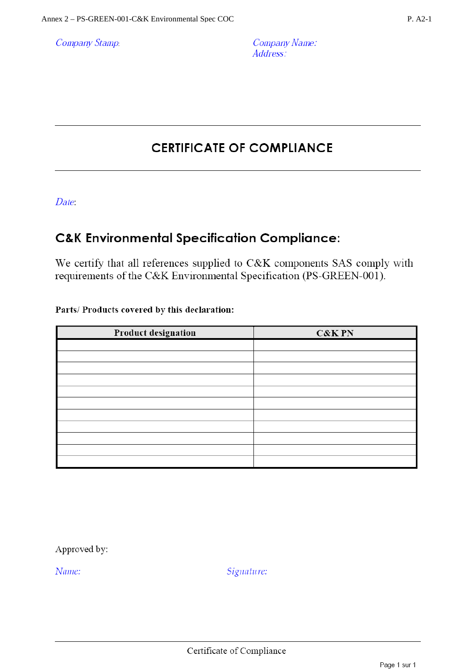**Company Stamp** 

## **CERTIFICATE OF COMPLIANCE**

Date:

## **C&K Environmental Specification Compliance:**

We certify that all references supplied to C&K components SAS comply with requirements of the C&K Environmental Specification (PS-GREEN-001).

#### Parts/Products covered by this declaration:

| Product designation | <b>C&amp;K PN</b> |
|---------------------|-------------------|
|                     |                   |
|                     |                   |
|                     |                   |
|                     |                   |
|                     |                   |
|                     |                   |
|                     |                   |
|                     |                   |
|                     |                   |
|                     |                   |
|                     |                   |

Approved by:

Name: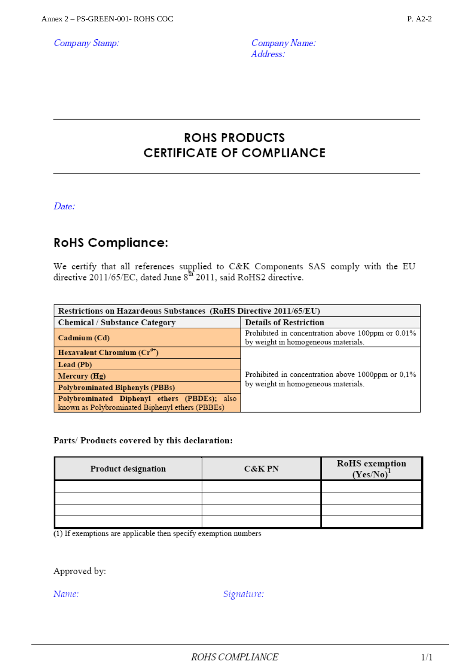Company Stamp:

## **ROHS PRODUCTS CERTIFICATE OF COMPLIANCE**

Date:

## **RoHS Compliance:**

We certify that all references supplied to C&K Components SAS comply with the EU directive 2011/65/EC, dated June  $8^{th}$  2011, said RoHS2 directive.

| Restrictions on Hazardeous Substances (RoHS Directive 2011/65/EU)                               |                                                                                          |  |
|-------------------------------------------------------------------------------------------------|------------------------------------------------------------------------------------------|--|
| Chemical / Substance Category                                                                   | <b>Details of Restriction</b>                                                            |  |
| Cadmium (Cd)                                                                                    | Prohibited in concentration above 100ppm or 0.01%<br>by weight in homogeneous materials. |  |
| Hexavalent Chromium $(Cr^6)$                                                                    |                                                                                          |  |
| Lead (Pb)                                                                                       |                                                                                          |  |
| Mercury $(Hg)$                                                                                  | Prohibited in concentration above 1000ppm or 0.1%                                        |  |
| Polybrominated Biphenyls (PBBs)                                                                 | by weight in homogeneous materials.                                                      |  |
| Polybrominated Diphenyl ethers (PBDEs); also<br>known as Polybrominated Biphenyl ethers (PBBEs) |                                                                                          |  |

#### Parts/ Products covered by this declaration:

| Product designation | <b>C&amp;K PN</b> | <b>RoHS</b> exemption<br>$(Yes/No)^{1}$ |
|---------------------|-------------------|-----------------------------------------|
|                     |                   |                                         |
|                     |                   |                                         |
|                     |                   |                                         |
|                     |                   |                                         |

 $(1)$  If exemptions are applicable then specify exemption numbers

Approved by:

Name: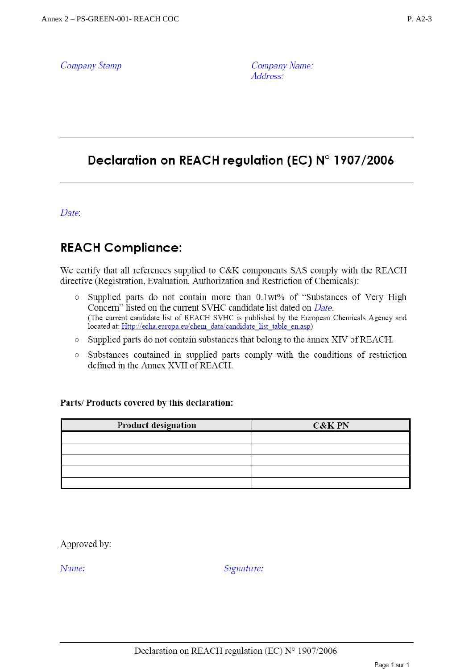**Company Stamp** 

Company Name: Address:

## Declaration on REACH regulation (EC) N° 1907/2006

Date:

## **REACH Compliance:**

We certify that all references supplied to C&K components SAS comply with the REACH directive (Registration, Evaluation, Authorization and Restriction of Chemicals):

- Supplied parts do not contain more than 0.1wt% of "Substances of Very High  $\circ$ Concern" listed on the current SVHC candidate list dated on *Date*. (The current candidate list of REACH SVHC is published by the European Chemicals Agency and located at: Http://echa.europa.eu/chem\_data/candidate\_list\_table\_en.asp)
- o Supplied parts do not contain substances that belong to the annex XIV of REACH.
- Substances contained in supplied parts comply with the conditions of restriction  $\circ$ defined in the Annex XVII of REACH.

#### Parts/Products covered by this declaration:

| Product designation | <b>C&amp;K PN</b> |
|---------------------|-------------------|
|                     |                   |
|                     |                   |
|                     |                   |
|                     |                   |
|                     |                   |

Approved by:

Name: